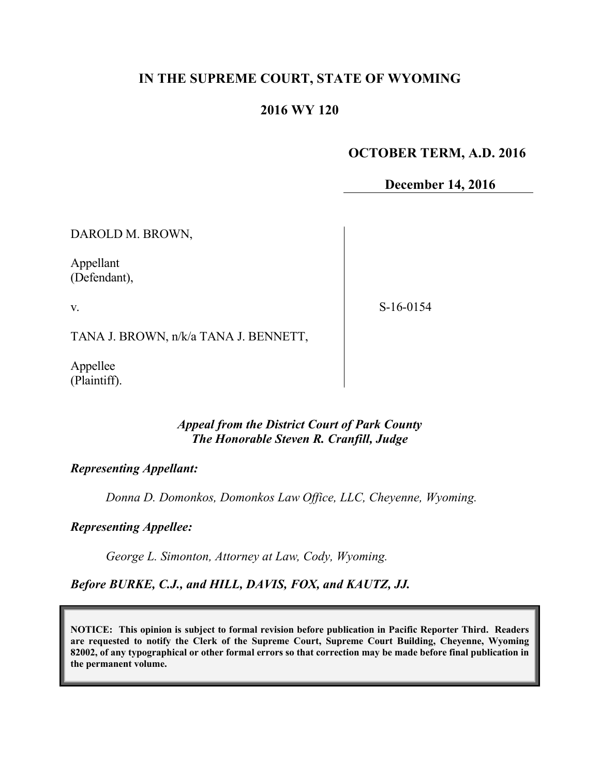# **IN THE SUPREME COURT, STATE OF WYOMING**

# **2016 WY 120**

# **OCTOBER TERM, A.D. 2016**

**December 14, 2016**

DAROLD M. BROWN,

Appellant (Defendant),

v.

S-16-0154

TANA J. BROWN, n/k/a TANA J. BENNETT,

Appellee (Plaintiff).

## *Appeal from the District Court of Park County The Honorable Steven R. Cranfill, Judge*

#### *Representing Appellant:*

*Donna D. Domonkos, Domonkos Law Office, LLC, Cheyenne, Wyoming.*

*Representing Appellee:*

*George L. Simonton, Attorney at Law, Cody, Wyoming.*

*Before BURKE, C.J., and HILL, DAVIS, FOX, and KAUTZ, JJ.*

**NOTICE: This opinion is subject to formal revision before publication in Pacific Reporter Third. Readers are requested to notify the Clerk of the Supreme Court, Supreme Court Building, Cheyenne, Wyoming 82002, of any typographical or other formal errors so that correction may be made before final publication in the permanent volume.**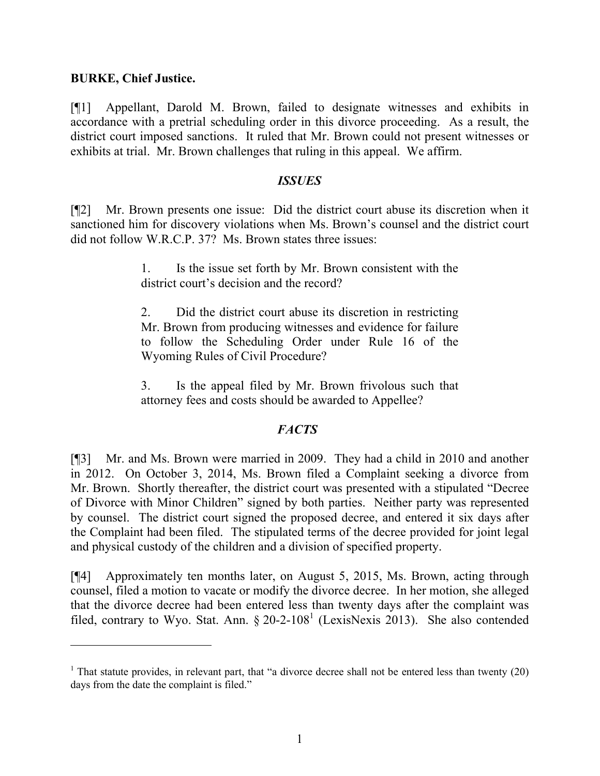## **BURKE, Chief Justice.**

[¶1] Appellant, Darold M. Brown, failed to designate witnesses and exhibits in accordance with a pretrial scheduling order in this divorce proceeding. As a result, the district court imposed sanctions. It ruled that Mr. Brown could not present witnesses or exhibits at trial. Mr. Brown challenges that ruling in this appeal. We affirm.

## *ISSUES*

[¶2] Mr. Brown presents one issue: Did the district court abuse its discretion when it sanctioned him for discovery violations when Ms. Brown's counsel and the district court did not follow W.R.C.P. 37? Ms. Brown states three issues:

> 1. Is the issue set forth by Mr. Brown consistent with the district court's decision and the record?

> 2. Did the district court abuse its discretion in restricting Mr. Brown from producing witnesses and evidence for failure to follow the Scheduling Order under Rule 16 of the Wyoming Rules of Civil Procedure?

> 3. Is the appeal filed by Mr. Brown frivolous such that attorney fees and costs should be awarded to Appellee?

# *FACTS*

[¶3] Mr. and Ms. Brown were married in 2009. They had a child in 2010 and another in 2012. On October 3, 2014, Ms. Brown filed a Complaint seeking a divorce from Mr. Brown. Shortly thereafter, the district court was presented with a stipulated "Decree of Divorce with Minor Children" signed by both parties. Neither party was represented by counsel. The district court signed the proposed decree, and entered it six days after the Complaint had been filed. The stipulated terms of the decree provided for joint legal and physical custody of the children and a division of specified property.

[¶4] Approximately ten months later, on August 5, 2015, Ms. Brown, acting through counsel, filed a motion to vacate or modify the divorce decree. In her motion, she alleged that the divorce decree had been entered less than twenty days after the complaint was filed, contrary to Wyo. Stat. Ann.  $\S 20-2-108^1$  (LexisNexis 2013). She also contended

<sup>&</sup>lt;sup>1</sup> That statute provides, in relevant part, that "a divorce decree shall not be entered less than twenty  $(20)$ days from the date the complaint is filed."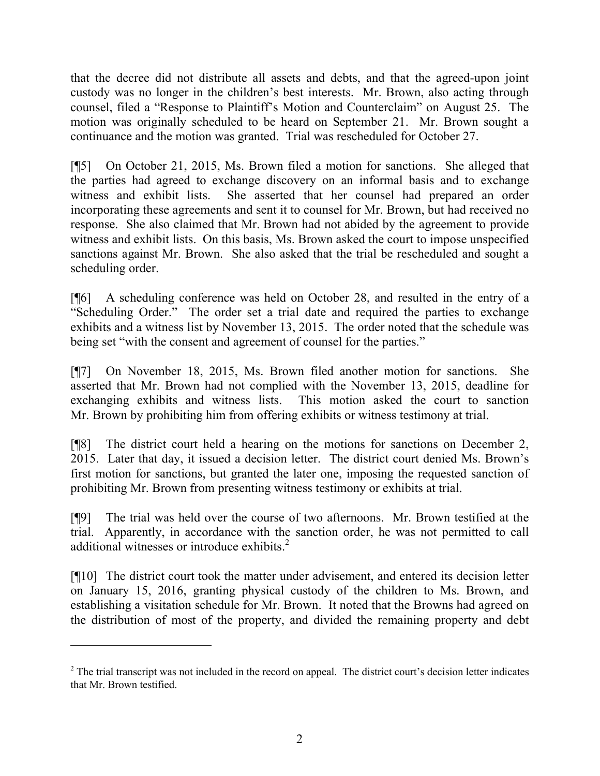that the decree did not distribute all assets and debts, and that the agreed-upon joint custody was no longer in the children's best interests. Mr. Brown, also acting through counsel, filed a "Response to Plaintiff's Motion and Counterclaim" on August 25. The motion was originally scheduled to be heard on September 21. Mr. Brown sought a continuance and the motion was granted. Trial was rescheduled for October 27.

[¶5] On October 21, 2015, Ms. Brown filed a motion for sanctions. She alleged that the parties had agreed to exchange discovery on an informal basis and to exchange witness and exhibit lists. She asserted that her counsel had prepared an order incorporating these agreements and sent it to counsel for Mr. Brown, but had received no response. She also claimed that Mr. Brown had not abided by the agreement to provide witness and exhibit lists. On this basis, Ms. Brown asked the court to impose unspecified sanctions against Mr. Brown. She also asked that the trial be rescheduled and sought a scheduling order.

[¶6] A scheduling conference was held on October 28, and resulted in the entry of a "Scheduling Order." The order set a trial date and required the parties to exchange exhibits and a witness list by November 13, 2015. The order noted that the schedule was being set "with the consent and agreement of counsel for the parties."

[¶7] On November 18, 2015, Ms. Brown filed another motion for sanctions. She asserted that Mr. Brown had not complied with the November 13, 2015, deadline for exchanging exhibits and witness lists. This motion asked the court to sanction Mr. Brown by prohibiting him from offering exhibits or witness testimony at trial.

[¶8] The district court held a hearing on the motions for sanctions on December 2, 2015. Later that day, it issued a decision letter. The district court denied Ms. Brown's first motion for sanctions, but granted the later one, imposing the requested sanction of prohibiting Mr. Brown from presenting witness testimony or exhibits at trial.

[¶9] The trial was held over the course of two afternoons. Mr. Brown testified at the trial. Apparently, in accordance with the sanction order, he was not permitted to call additional witnesses or introduce exhibits. $2$ 

[¶10] The district court took the matter under advisement, and entered its decision letter on January 15, 2016, granting physical custody of the children to Ms. Brown, and establishing a visitation schedule for Mr. Brown. It noted that the Browns had agreed on the distribution of most of the property, and divided the remaining property and debt

 $2$  The trial transcript was not included in the record on appeal. The district court's decision letter indicates that Mr. Brown testified.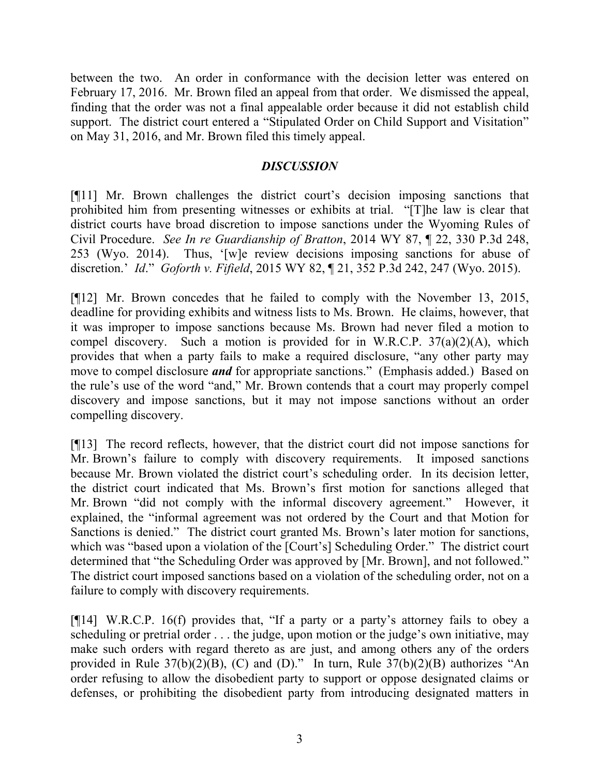between the two. An order in conformance with the decision letter was entered on February 17, 2016. Mr. Brown filed an appeal from that order. We dismissed the appeal, finding that the order was not a final appealable order because it did not establish child support. The district court entered a "Stipulated Order on Child Support and Visitation" on May 31, 2016, and Mr. Brown filed this timely appeal.

# *DISCUSSION*

[¶11] Mr. Brown challenges the district court's decision imposing sanctions that prohibited him from presenting witnesses or exhibits at trial. "[T]he law is clear that district courts have broad discretion to impose sanctions under the Wyoming Rules of Civil Procedure. *See In re Guardianship of Bratton*, 2014 WY 87, ¶ 22, 330 P.3d 248, 253 (Wyo. 2014). Thus, '[w]e review decisions imposing sanctions for abuse of discretion.' *Id*." *Goforth v. Fifield*, 2015 WY 82, ¶ 21, 352 P.3d 242, 247 (Wyo. 2015).

[¶12] Mr. Brown concedes that he failed to comply with the November 13, 2015, deadline for providing exhibits and witness lists to Ms. Brown. He claims, however, that it was improper to impose sanctions because Ms. Brown had never filed a motion to compel discovery. Such a motion is provided for in W.R.C.P.  $37(a)(2)(A)$ , which provides that when a party fails to make a required disclosure, "any other party may move to compel disclosure *and* for appropriate sanctions." (Emphasis added.) Based on the rule's use of the word "and," Mr. Brown contends that a court may properly compel discovery and impose sanctions, but it may not impose sanctions without an order compelling discovery.

[¶13] The record reflects, however, that the district court did not impose sanctions for Mr. Brown's failure to comply with discovery requirements. It imposed sanctions because Mr. Brown violated the district court's scheduling order. In its decision letter, the district court indicated that Ms. Brown's first motion for sanctions alleged that Mr. Brown "did not comply with the informal discovery agreement." However, it explained, the "informal agreement was not ordered by the Court and that Motion for Sanctions is denied." The district court granted Ms. Brown's later motion for sanctions, which was "based upon a violation of the [Court's] Scheduling Order." The district court determined that "the Scheduling Order was approved by [Mr. Brown], and not followed." The district court imposed sanctions based on a violation of the scheduling order, not on a failure to comply with discovery requirements.

[¶14] W.R.C.P. 16(f) provides that, "If a party or a party's attorney fails to obey a scheduling or pretrial order . . . the judge, upon motion or the judge's own initiative, may make such orders with regard thereto as are just, and among others any of the orders provided in Rule  $37(b)(2)(B)$ , (C) and (D)." In turn, Rule  $37(b)(2)(B)$  authorizes "An order refusing to allow the disobedient party to support or oppose designated claims or defenses, or prohibiting the disobedient party from introducing designated matters in